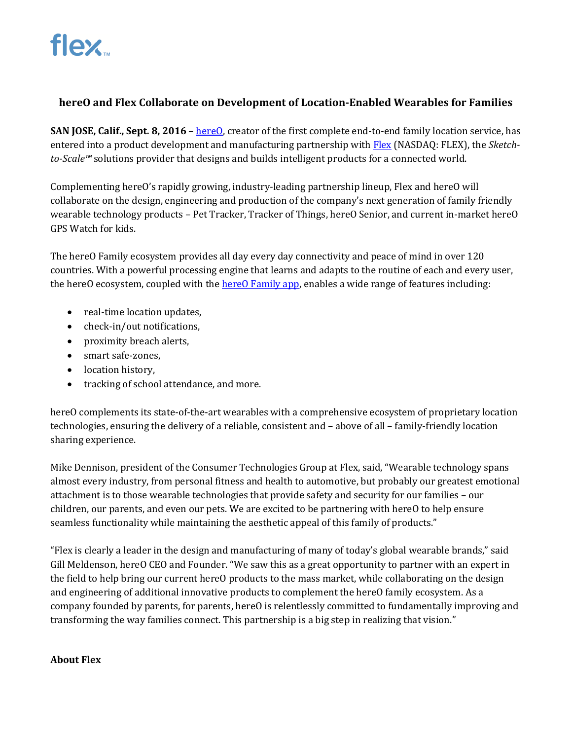## **hereO and Flex Collaborate on Development of Location-Enabled Wearables for Families**

**SAN JOSE, Calif., Sept. 8, 2016** – [hereO,](http://www.hereofamily.com/) creator of the first complete end-to-end family location service, has entered into a product development and manufacturing partnership wit[h Flex](http://www.flextronics.com/) (NASDAQ: FLEX), the *Sketchto-Scale™* solutions provider that designs and builds intelligent products for a connected world.

Complementing hereO's rapidly growing, industry-leading partnership lineup, Flex and hereO will collaborate on the design, engineering and production of the company's next generation of family friendly wearable technology products – Pet Tracker, Tracker of Things, hereO Senior, and current in-market hereO GPS Watch for kids.

The hereO Family ecosystem provides all day every day connectivity and peace of mind in over 120 countries. With a powerful processing engine that learns and adapts to the routine of each and every user, the hereO ecosystem, coupled with th[e hereO Family app,](http://www.hereofamily.com/download) enables a wide range of features including:

- real-time location updates,
- check-in/out notifications,
- proximity breach alerts,
- smart safe-zones,
- location history,
- tracking of school attendance, and more.

hereO complements its state-of-the-art wearables with a comprehensive ecosystem of proprietary location technologies, ensuring the delivery of a reliable, consistent and – above of all – family-friendly location sharing experience.

Mike Dennison, president of the Consumer Technologies Group at Flex, said, "Wearable technology spans almost every industry, from personal fitness and health to automotive, but probably our greatest emotional attachment is to those wearable technologies that provide safety and security for our families – our children, our parents, and even our pets. We are excited to be partnering with hereO to help ensure seamless functionality while maintaining the aesthetic appeal of this family of products."

"Flex is clearly a leader in the design and manufacturing of many of today's global wearable brands," said Gill Meldenson, hereO CEO and Founder. "We saw this as a great opportunity to partner with an expert in the field to help bring our current hereO products to the mass market, while collaborating on the design and engineering of additional innovative products to complement the hereO family ecosystem. As a company founded by parents, for parents, hereO is relentlessly committed to fundamentally improving and transforming the way families connect. This partnership is a big step in realizing that vision."

#### **About Flex**